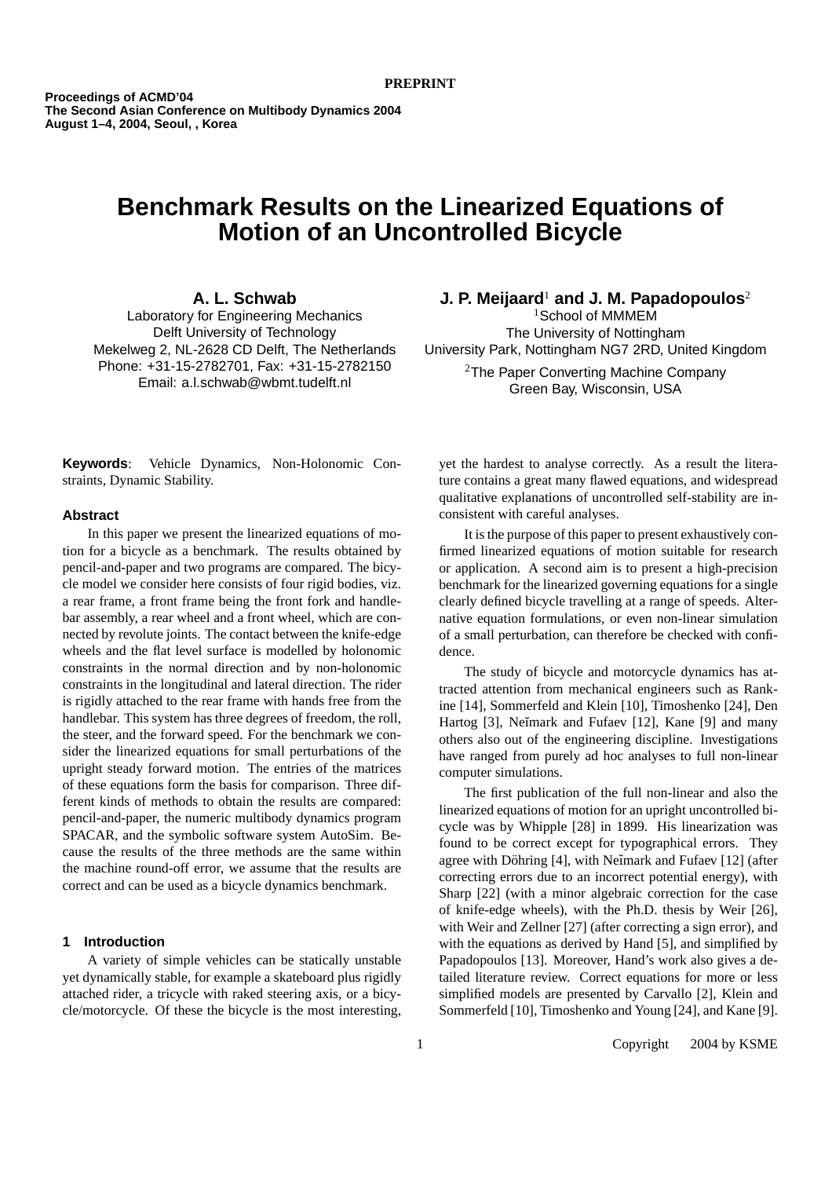**Proceedings of ACMD'04 The Second Asian Conference on Multibody Dynamics 2004 August 1–4, 2004, Seoul, , Korea**

# **Benchmark Results on the Linearized Equations of Motion of an Uncontrolled Bicycle**

**A. L. Schwab**

Laboratory for Engineering Mechanics Delft University of Technology Mekelweg 2, NL-2628 CD Delft, The Netherlands Phone: +31-15-2782701, Fax: +31-15-2782150 Email: a.l.schwab@wbmt.tudelft.nl

**J. P. Meijaard**<sup>1</sup> **and J. M. Papadopoulos**<sup>2</sup>

 $1$ School of MMMEM The University of Nottingham University Park, Nottingham NG7 2RD, United Kingdom

> <sup>2</sup>The Paper Converting Machine Company Green Bay, Wisconsin, USA

**Keywords**: Vehicle Dynamics, Non-Holonomic Constraints, Dynamic Stability.

## **Abstract**

In this paper we present the linearized equations of motion for a bicycle as a benchmark. The results obtained by pencil-and-paper and two programs are compared. The bicycle model we consider here consists of four rigid bodies, viz. a rear frame, a front frame being the front fork and handlebar assembly, a rear wheel and a front wheel, which are connected by revolute joints. The contact between the knife-edge wheels and the flat level surface is modelled by holonomic constraints in the normal direction and by non-holonomic constraints in the longitudinal and lateral direction. The rider is rigidly attached to the rear frame with hands free from the handlebar. This system has three degrees of freedom, the roll, the steer, and the forward speed. For the benchmark we consider the linearized equations for small perturbations of the upright steady forward motion. The entries of the matrices of these equations form the basis for comparison. Three different kinds of methods to obtain the results are compared: pencil-and-paper, the numeric multibody dynamics program SPACAR, and the symbolic software system AutoSim. Because the results of the three methods are the same within the machine round-off error, we assume that the results are correct and can be used as a bicycle dynamics benchmark.

## **1 Introduction**

A variety of simple vehicles can be statically unstable yet dynamically stable, for example a skateboard plus rigidly attached rider, a tricycle with raked steering axis, or a bicycle/motorcycle. Of these the bicycle is the most interesting, yet the hardest to analyse correctly. As a result the literature contains a great many flawed equations, and widespread qualitative explanations of uncontrolled self-stability are inconsistent with careful analyses.

It is the purpose of this paper to present exhaustively confirmed linearized equations of motion suitable for research or application. A second aim is to present a high-precision benchmark for the linearized governing equations for a single clearly defined bicycle travelling at a range of speeds. Alternative equation formulations, or even non-linear simulation of a small perturbation, can therefore be checked with confidence.

The study of bicycle and motorcycle dynamics has attracted attention from mechanical engineers such as Rankine [14], Sommerfeld and Klein [10], Timoshenko [24], Den Hartog [3], Neĭmark and Fufaev [12], Kane [9] and many others also out of the engineering discipline. Investigations have ranged from purely ad hoc analyses to full non-linear computer simulations.

The first publication of the full non-linear and also the linearized equations of motion for an upright uncontrolled bicycle was by Whipple [28] in 1899. His linearization was found to be correct except for typographical errors. They agree with Döhring  $[4]$ , with Neimark and Fufaev  $[12]$  (after correcting errors due to an incorrect potential energy), with Sharp [22] (with a minor algebraic correction for the case of knife-edge wheels), with the Ph.D. thesis by Weir [26], with Weir and Zellner [27] (after correcting a sign error), and with the equations as derived by Hand [5], and simplified by Papadopoulos [13]. Moreover, Hand's work also gives a detailed literature review. Correct equations for more or less simplified models are presented by Carvallo [2], Klein and Sommerfeld [10], Timoshenko and Young [24], and Kane [9].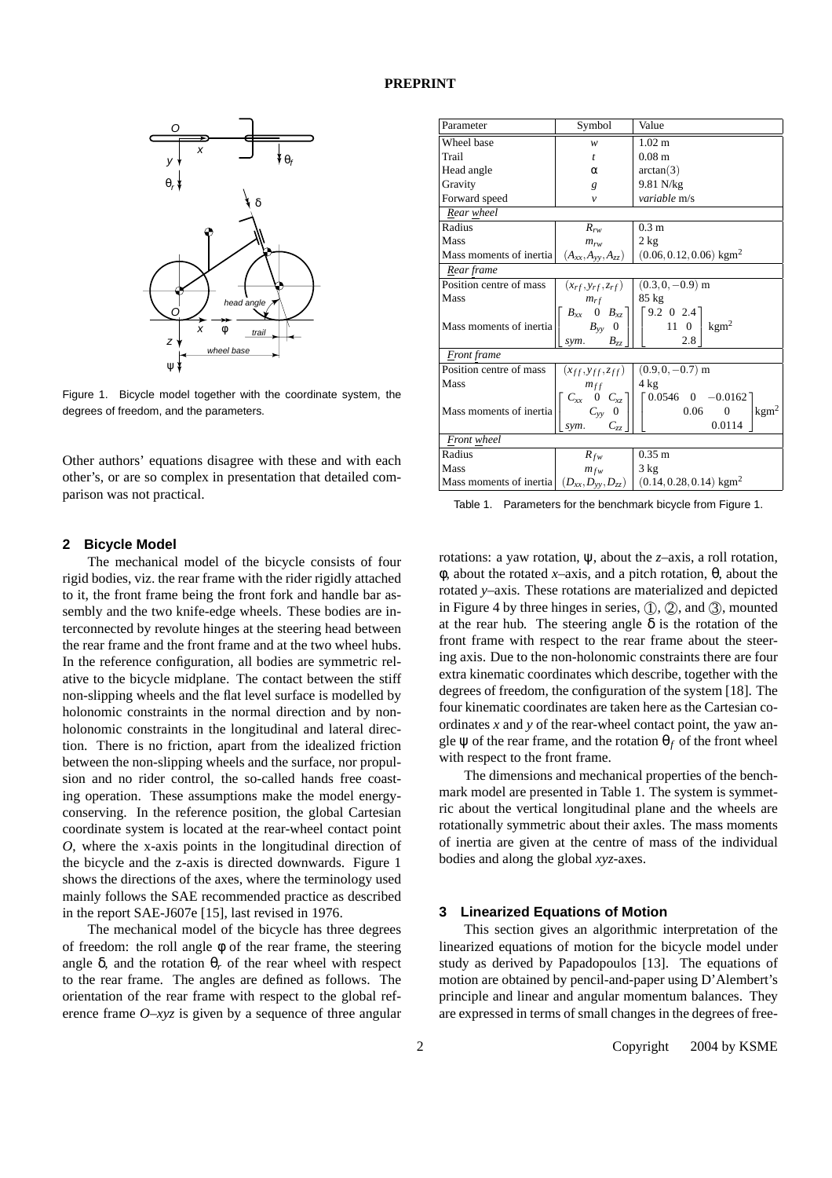

Figure 1. Bicycle model together with the coordinate system, the degrees of freedom, and the parameters.

Other authors' equations disagree with these and with each other's, or are so complex in presentation that detailed comparison was not practical.

## **2 Bicycle Model**

The mechanical model of the bicycle consists of four rigid bodies, viz. the rear frame with the rider rigidly attached to it, the front frame being the front fork and handle bar assembly and the two knife-edge wheels. These bodies are interconnected by revolute hinges at the steering head between the rear frame and the front frame and at the two wheel hubs. In the reference configuration, all bodies are symmetric relative to the bicycle midplane. The contact between the stiff non-slipping wheels and the flat level surface is modelled by holonomic constraints in the normal direction and by nonholonomic constraints in the longitudinal and lateral direction. There is no friction, apart from the idealized friction between the non-slipping wheels and the surface, nor propulsion and no rider control, the so-called hands free coasting operation. These assumptions make the model energyconserving. In the reference position, the global Cartesian coordinate system is located at the rear-wheel contact point *O*, where the x-axis points in the longitudinal direction of the bicycle and the z-axis is directed downwards. Figure 1 shows the directions of the axes, where the terminology used mainly follows the SAE recommended practice as described in the report SAE-J607e [15], last revised in 1976.

The mechanical model of the bicycle has three degrees of freedom: the roll angle  $\phi$  of the rear frame, the steering angle  $\delta$ , and the rotation  $\theta_r$  of the rear wheel with respect to the rear frame. The angles are defined as follows. The orientation of the rear frame with respect to the global reference frame *O*–*xyz* is given by a sequence of three angular

| Parameter               | Symbol                                                                                                   | Value                                                                                                                                                |  |  |  |
|-------------------------|----------------------------------------------------------------------------------------------------------|------------------------------------------------------------------------------------------------------------------------------------------------------|--|--|--|
| Wheel base              | w                                                                                                        | 1.02 <sub>m</sub>                                                                                                                                    |  |  |  |
| Trail                   | $\mathfrak{t}$                                                                                           | 0.08 <sub>m</sub>                                                                                                                                    |  |  |  |
| Head angle              | α                                                                                                        | arctan(3)                                                                                                                                            |  |  |  |
| Gravity                 | g                                                                                                        | 9.81 N/kg                                                                                                                                            |  |  |  |
| Forward speed           | $\mathcal{V}$                                                                                            | variable m/s                                                                                                                                         |  |  |  |
| Rear wheel              |                                                                                                          |                                                                                                                                                      |  |  |  |
| Radius                  | $R_{rw}$                                                                                                 | 0.3 <sub>m</sub>                                                                                                                                     |  |  |  |
| Mass                    | $m_{rw}$                                                                                                 | $2$ kg                                                                                                                                               |  |  |  |
| Mass moments of inertia | $(A_{xx},A_{yy},A_{zz})$                                                                                 | $(0.06, 0.12, 0.06)$ kgm <sup>2</sup>                                                                                                                |  |  |  |
| Rear frame              |                                                                                                          |                                                                                                                                                      |  |  |  |
| Position centre of mass | $(x_{rf}, y_{rf}, z_{rf})$                                                                               | $(0.3, 0, -0.9)$ m                                                                                                                                   |  |  |  |
| Mass                    | $m_{rf}$                                                                                                 | 85 kg                                                                                                                                                |  |  |  |
| Mass moments of inertia | $B_{zz}$<br>sym.                                                                                         | $\begin{array}{cc} B_{xx} & 0 & B_{xz} \\ B_{yy} & 0 \end{array}$ $\begin{bmatrix} 9.2 & 0 & 2.4 \\ & 11 & 0 \end{bmatrix}$<br>$\text{kgm}^2$<br>2.8 |  |  |  |
| Front frame             |                                                                                                          |                                                                                                                                                      |  |  |  |
| Position centre of mass | $(x_{ff}, y_{ff}, z_{ff})$                                                                               | $(0.9, 0, -0.7)$ m                                                                                                                                   |  |  |  |
| Mass                    | $m_{ff}$                                                                                                 | $4 \text{ kg}$                                                                                                                                       |  |  |  |
| Mass moments of inertia | $\begin{bmatrix} C_{xx} & 0 & C_{xz} \\ C_{yy} & 0 \end{bmatrix}$<br>$C_{\scriptscriptstyle ZZ}$<br>sym. | $\begin{bmatrix} 0.0546 & 0 & -0.0162 \end{bmatrix}$<br>$\text{kgm}^2$<br>0.06<br>$\Omega$<br>0.0114                                                 |  |  |  |
| Front wheel             |                                                                                                          |                                                                                                                                                      |  |  |  |
| Radius                  | $R_{fw}$                                                                                                 | $0.35 \; \mathrm{m}$                                                                                                                                 |  |  |  |
| Mass                    | $m_{fw}$                                                                                                 | 3 kg                                                                                                                                                 |  |  |  |
| Mass moments of inertia | $(D_{xx}, D_{yy}, D_{zz})$                                                                               | $(0.14, 0.28, 0.14)$ kgm <sup>2</sup>                                                                                                                |  |  |  |

Table 1. Parameters for the benchmark bicycle from Figure 1.

rotations: a yaw rotation, ψ, about the *z*–axis, a roll rotation, φ, about the rotated *x*–axis, and a pitch rotation, θ, about the rotated *y*–axis. These rotations are materialized and depicted in Figure 4 by three hinges in series,  $(1)$ ,  $(2)$ , and  $(3)$ , mounted at the rear hub. The steering angle  $\delta$  is the rotation of the front frame with respect to the rear frame about the steering axis. Due to the non-holonomic constraints there are four extra kinematic coordinates which describe, together with the degrees of freedom, the configuration of the system [18]. The four kinematic coordinates are taken here as the Cartesian coordinates *x* and *y* of the rear-wheel contact point, the yaw angle  $\psi$  of the rear frame, and the rotation  $\theta_f$  of the front wheel with respect to the front frame.

The dimensions and mechanical properties of the benchmark model are presented in Table 1. The system is symmetric about the vertical longitudinal plane and the wheels are rotationally symmetric about their axles. The mass moments of inertia are given at the centre of mass of the individual bodies and along the global *xyz*-axes.

## **3 Linearized Equations of Motion**

This section gives an algorithmic interpretation of the linearized equations of motion for the bicycle model under study as derived by Papadopoulos [13]. The equations of motion are obtained by pencil-and-paper using D'Alembert's principle and linear and angular momentum balances. They are expressed in terms of small changes in the degrees of free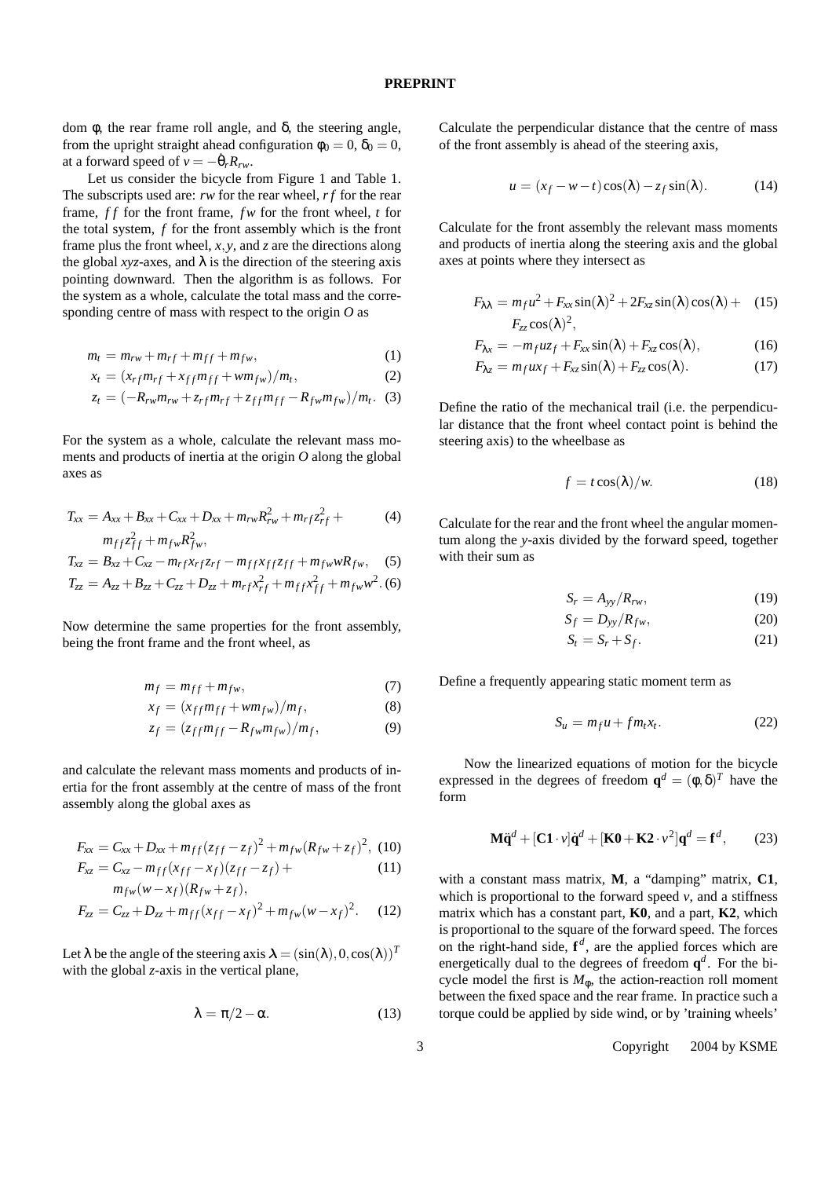dom φ, the rear frame roll angle, and δ, the steering angle, from the upright straight ahead configuration  $\phi_0 = 0$ ,  $\delta_0 = 0$ , at a forward speed of  $v = -\dot{\theta}_r R_{rw}$ .

Let us consider the bicycle from Figure 1 and Table 1. The subscripts used are: *rw* for the rear wheel, *r f* for the rear frame, *f f* for the front frame, *f w* for the front wheel, *t* for the total system, *f* for the front assembly which is the front frame plus the front wheel, *x*, *y*, and *z* are the directions along the global *xyz*-axes, and  $\lambda$  is the direction of the steering axis pointing downward. Then the algorithm is as follows. For the system as a whole, calculate the total mass and the corresponding centre of mass with respect to the origin *O* as

$$
m_t = m_{rw} + m_{rf} + m_{ff} + m_{fw},\tag{1}
$$

$$
x_t = (x_{rf}m_{rf} + x_{ff}m_{ff} + w m_{fw})/m_t, \qquad (2)
$$

$$
z_t = (-R_{rw}m_{rw} + z_{rf}m_{rf} + z_{ff}m_{ff} - R_{fw}m_{fw})/m_t.
$$
 (3)

For the system as a whole, calculate the relevant mass moments and products of inertia at the origin *O* along the global axes as

$$
T_{xx} = A_{xx} + B_{xx} + C_{xx} + D_{xx} + m_{rw}R_{rw}^2 + m_{rf}z_{rf}^2 +
$$
  

$$
m_{\text{eff}}z_{r}^2 + m_{\text{eff}}R_{rr}^2
$$
 (4)

$$
m_{ff}z_{ff}^2 + m_{fw}R_{fw}^2,
$$
  
\n
$$
T_{rr} = B_{rr} + C_{rr} - m_{rf}x_{rf}z_{rf} - m_{fr}x_{fr}z_{rf}z_{fr} + m_{fw}wR_{fw}.
$$
 (5)

$$
T_{zz} = A_{zz} + B_{zz} + C_{zz} + D_{zz} + m_f x_{rf}^2 + m_f x_{ff}^2 + m_f w^2
$$
 (6)

Now determine the same properties for the front assembly, being the front frame and the front wheel, as

$$
m_f = m_{ff} + m_{fw},\tag{7}
$$

$$
x_f = (x_{ff}m_{ff} + w m_{fw})/m_f, \qquad (8)
$$

$$
z_f = (z_{ff}m_{ff} - R_{fw}m_{fw})/m_f, \qquad (9)
$$

and calculate the relevant mass moments and products of inertia for the front assembly at the centre of mass of the front assembly along the global axes as

$$
F_{xx} = C_{xx} + D_{xx} + m_{ff} (z_{ff} - z_f)^2 + m_{fw} (R_{fw} + z_f)^2, (10)
$$

$$
F_{xz} = C_{xz} - m_{ff}(x_{ff} - x_f)(z_{ff} - z_f) +
$$
  
\n
$$
m_{fw}(w - x_f)(R_{fw} + z_f),
$$
\n(11)

$$
F_{zz} = C_{zz} + D_{zz} + m_{ff} (x_{ff} - x_f)^2 + m_{fw} (w - x_f)^2.
$$
 (12)

Let  $\lambda$  be the angle of the steering axis  $\lambda = (\sin(\lambda), 0, \cos(\lambda))^T$ with the global *z*-axis in the vertical plane,

$$
\lambda = \pi/2 - \alpha. \tag{13}
$$

Calculate the perpendicular distance that the centre of mass of the front assembly is ahead of the steering axis,

$$
u = (x_f - w - t)\cos(\lambda) - z_f \sin(\lambda). \tag{14}
$$

Calculate for the front assembly the relevant mass moments and products of inertia along the steering axis and the global axes at points where they intersect as

$$
F_{\lambda\lambda} = m_f u^2 + F_{xx} \sin(\lambda)^2 + 2F_{xz} \sin(\lambda) \cos(\lambda) + (15)
$$
  

$$
F_{zz} \cos(\lambda)^2,
$$

$$
F_{\lambda x} = -m_f u z_f + F_{xx} \sin(\lambda) + F_{xz} \cos(\lambda), \qquad (16)
$$

$$
F_{\lambda z} = m_f u x_f + F_{xz} \sin(\lambda) + F_{zz} \cos(\lambda). \tag{17}
$$

Define the ratio of the mechanical trail (i.e. the perpendicular distance that the front wheel contact point is behind the steering axis) to the wheelbase as

$$
f = t \cos(\lambda)/w.
$$
 (18)

Calculate for the rear and the front wheel the angular momentum along the *y*-axis divided by the forward speed, together with their sum as

$$
S_r = A_{yy}/R_{rw},\tag{19}
$$

$$
S_f = D_{yy}/R_{fw},\tag{20}
$$

$$
S_t = S_r + S_f. \tag{21}
$$

Define a frequently appearing static moment term as

$$
S_u = m_f u + f m_t x_t. \tag{22}
$$

Now the linearized equations of motion for the bicycle expressed in the degrees of freedom  $\mathbf{q}^d = (\phi, \delta)^T$  have the form

$$
\mathbf{M}\ddot{\mathbf{q}}^d + [\mathbf{C1} \cdot \mathbf{v}]\dot{\mathbf{q}}^d + [\mathbf{K0} + \mathbf{K2} \cdot \mathbf{v}^2]\mathbf{q}^d = \mathbf{f}^d, \qquad (23)
$$

with a constant mass matrix, **M**, a "damping" matrix, **C1**, which is proportional to the forward speed  $v$ , and a stiffness matrix which has a constant part, **K0**, and a part, **K2**, which is proportional to the square of the forward speed. The forces on the right-hand side, **f** *d* , are the applied forces which are energetically dual to the degrees of freedom **q** *d* . For the bicycle model the first is  $M_{\phi}$ , the action-reaction roll moment between the fixed space and the rear frame. In practice such a torque could be applied by side wind, or by 'training wheels'

3 Copyright  $\odot$  2004 by KSME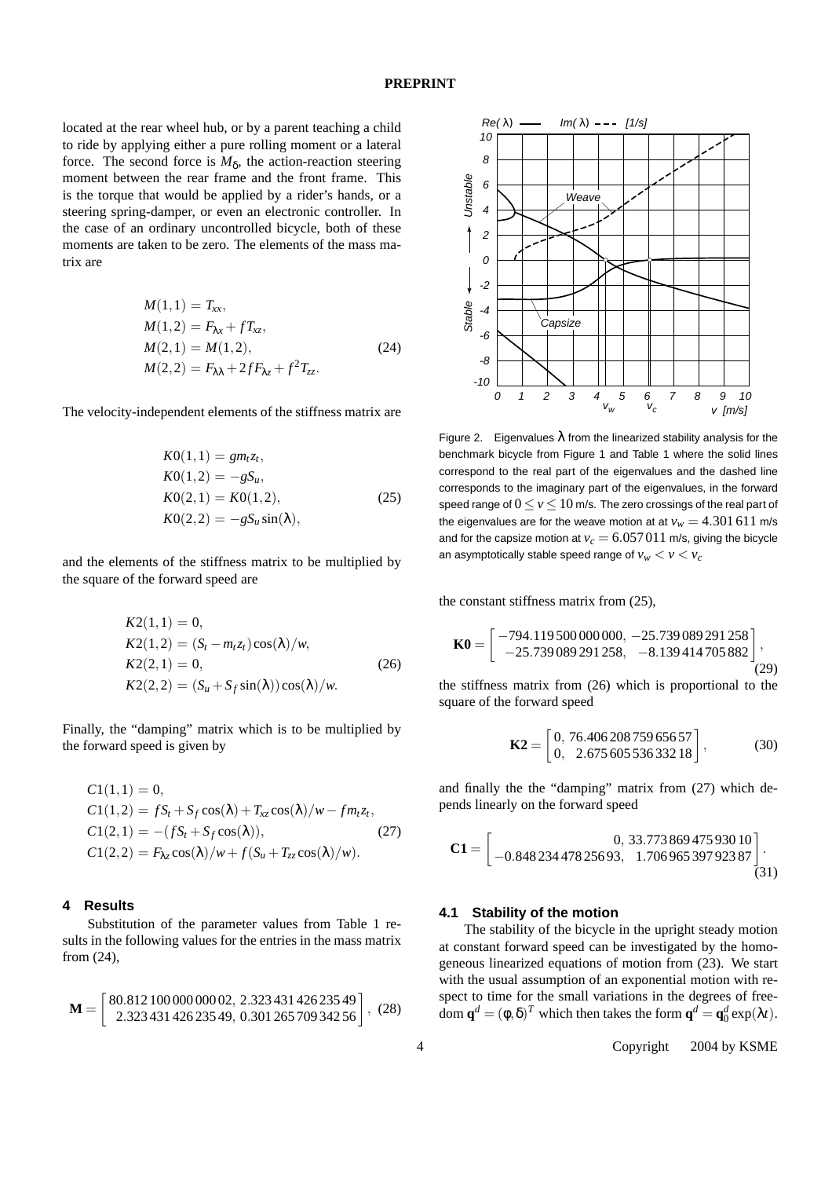located at the rear wheel hub, or by a parent teaching a child to ride by applying either a pure rolling moment or a lateral force. The second force is  $M_{\delta}$ , the action-reaction steering moment between the rear frame and the front frame. This is the torque that would be applied by a rider's hands, or a steering spring-damper, or even an electronic controller. In the case of an ordinary uncontrolled bicycle, both of these moments are taken to be zero. The elements of the mass matrix are

$$
M(1,1) = T_{xx},
$$
  
\n
$$
M(1,2) = F_{\lambda x} + f T_{xz},
$$
  
\n
$$
M(2,1) = M(1,2),
$$
  
\n
$$
M(2,2) = F_{\lambda \lambda} + 2f F_{\lambda z} + f^{2} T_{zz}.
$$
\n(24)

The velocity-independent elements of the stiffness matrix are

$$
K0(1,1) = gmtzt,\nK0(1,2) = -gSu,\nK0(2,1) = K0(1,2),\nK0(2,2) = -gSusin(\lambda),
$$
\n(25)

and the elements of the stiffness matrix to be multiplied by the square of the forward speed are

$$
K2(1,1) = 0,K2(1,2) = (S_t - m_t z_t) \cos(\lambda)/w,K2(2,1) = 0,K2(2,2) = (S_u + S_f \sin(\lambda)) \cos(\lambda)/w.
$$
 (26)

Finally, the "damping" matrix which is to be multiplied by the forward speed is given by

$$
C1(1,1) = 0,
$$
  
\n
$$
C1(1,2) = fS_t + S_f \cos(\lambda) + T_{xz} \cos(\lambda)/w - fm_t z_t,
$$
  
\n
$$
C1(2,1) = -(fS_t + S_f \cos(\lambda)),
$$
  
\n
$$
C1(2,2) = F_{\lambda z} \cos(\lambda)/w + f(S_u + T_{zz} \cos(\lambda)/w).
$$
\n(27)

#### **4 Results**

Substitution of the parameter values from Table 1 results in the following values for the entries in the mass matrix from (24),

$$
\mathbf{M} = \begin{bmatrix} 80.812110000000002 & 2.32343142623549 \\ 2.32343142623549 & 0.30126570934256 \end{bmatrix}, \tag{28}
$$



Figure 2. Eigenvalues  $\lambda$  from the linearized stability analysis for the benchmark bicycle from Figure 1 and Table 1 where the solid lines correspond to the real part of the eigenvalues and the dashed line corresponds to the imaginary part of the eigenvalues, in the forward speed range of  $0 \le v \le 10$  m/s. The zero crossings of the real part of the eigenvalues are for the weave motion at at  $v_w = 4.301611$  m/s and for the capsize motion at  $v_c = 6.057011$  m/s, giving the bicycle an asymptotically stable speed range of  $v_w < v < v_c$ 

the constant stiffness matrix from (25),

$$
\mathbf{K0} = \begin{bmatrix} -794.119500000000, -25.739089291258 \\ -25.739089291258, -8.139414705882 \end{bmatrix},
$$
(29)

the stiffness matrix from (26) which is proportional to the square of the forward speed

$$
\mathbf{K2} = \begin{bmatrix} 0, 76.40620875965657 \\ 0, 2.67560553633218 \end{bmatrix},
$$
 (30)

and finally the the "damping" matrix from (27) which depends linearly on the forward speed

$$
\mathbf{C1} = \begin{bmatrix} 0, 33.77386947593010 \\ -0.84823447825693, 1.70696539792387 \end{bmatrix} . \tag{31}
$$

#### **4.1 Stability of the motion**

The stability of the bicycle in the upright steady motion at constant forward speed can be investigated by the homogeneous linearized equations of motion from (23). We start with the usual assumption of an exponential motion with respect to time for the small variations in the degrees of freedom  $\mathbf{q}^d = (\phi, \delta)^T$  which then takes the form  $\mathbf{q}^d = \mathbf{q}_0^d \exp(\lambda t)$ .

4 Copyright © 2004 by KSME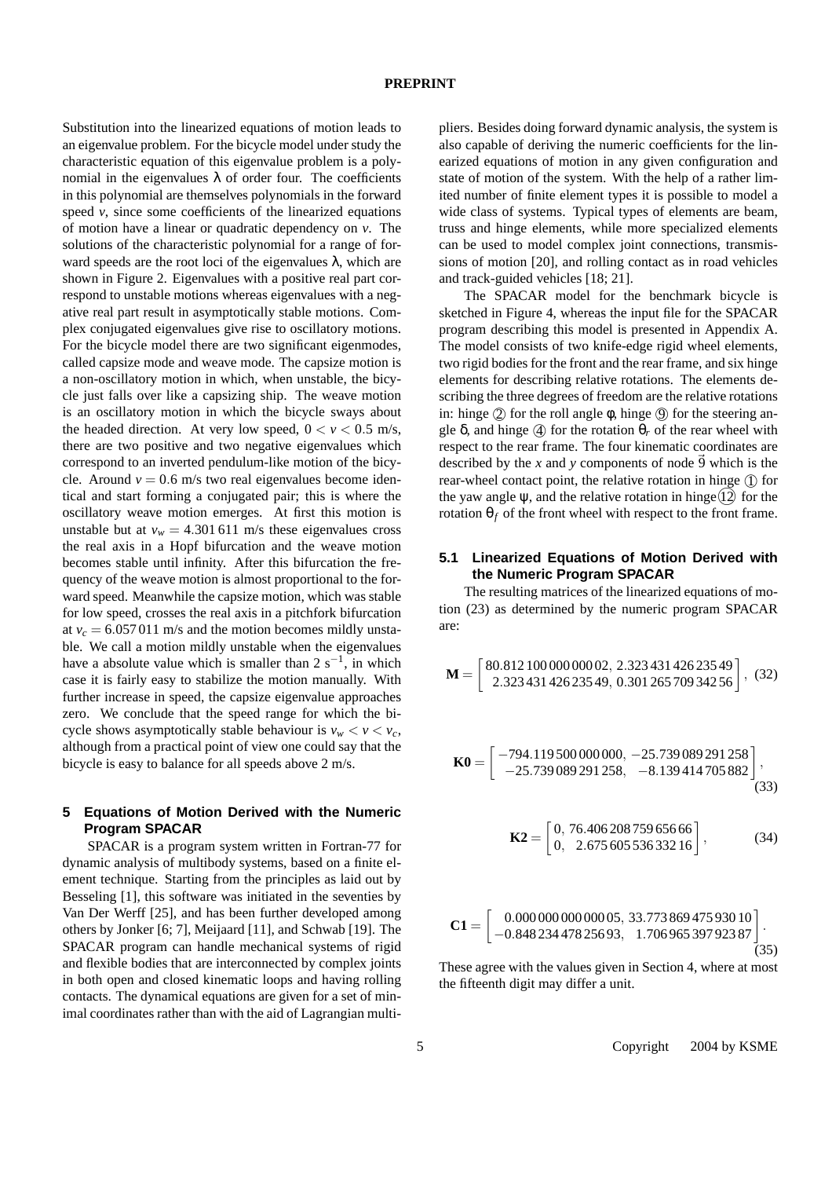Substitution into the linearized equations of motion leads to an eigenvalue problem. For the bicycle model under study the characteristic equation of this eigenvalue problem is a polynomial in the eigenvalues  $\lambda$  of order four. The coefficients in this polynomial are themselves polynomials in the forward speed *v*, since some coefficients of the linearized equations of motion have a linear or quadratic dependency on *v*. The solutions of the characteristic polynomial for a range of forward speeds are the root loci of the eigenvalues  $\lambda$ , which are shown in Figure 2. Eigenvalues with a positive real part correspond to unstable motions whereas eigenvalues with a negative real part result in asymptotically stable motions. Complex conjugated eigenvalues give rise to oscillatory motions. For the bicycle model there are two significant eigenmodes, called capsize mode and weave mode. The capsize motion is a non-oscillatory motion in which, when unstable, the bicycle just falls over like a capsizing ship. The weave motion is an oscillatory motion in which the bicycle sways about the headed direction. At very low speed,  $0 < v < 0.5$  m/s, there are two positive and two negative eigenvalues which correspond to an inverted pendulum-like motion of the bicycle. Around  $v = 0.6$  m/s two real eigenvalues become identical and start forming a conjugated pair; this is where the oscillatory weave motion emerges. At first this motion is unstable but at  $v_w = 4.301611$  m/s these eigenvalues cross the real axis in a Hopf bifurcation and the weave motion becomes stable until infinity. After this bifurcation the frequency of the weave motion is almost proportional to the forward speed. Meanwhile the capsize motion, which was stable for low speed, crosses the real axis in a pitchfork bifurcation at  $v_c = 6.057011$  m/s and the motion becomes mildly unstable. We call a motion mildly unstable when the eigenvalues have a absolute value which is smaller than  $2 s^{-1}$ , in which case it is fairly easy to stabilize the motion manually. With further increase in speed, the capsize eigenvalue approaches zero. We conclude that the speed range for which the bicycle shows asymptotically stable behaviour is  $v_w < v < v_c$ , although from a practical point of view one could say that the bicycle is easy to balance for all speeds above 2 m/s.

# **5 Equations of Motion Derived with the Numeric Program SPACAR**

SPACAR is a program system written in Fortran-77 for dynamic analysis of multibody systems, based on a finite element technique. Starting from the principles as laid out by Besseling [1], this software was initiated in the seventies by Van Der Werff [25], and has been further developed among others by Jonker [6; 7], Meijaard [11], and Schwab [19]. The SPACAR program can handle mechanical systems of rigid and flexible bodies that are interconnected by complex joints in both open and closed kinematic loops and having rolling contacts. The dynamical equations are given for a set of minimal coordinates rather than with the aid of Lagrangian multipliers. Besides doing forward dynamic analysis, the system is also capable of deriving the numeric coefficients for the linearized equations of motion in any given configuration and state of motion of the system. With the help of a rather limited number of finite element types it is possible to model a wide class of systems. Typical types of elements are beam, truss and hinge elements, while more specialized elements can be used to model complex joint connections, transmissions of motion [20], and rolling contact as in road vehicles and track-guided vehicles [18; 21].

The SPACAR model for the benchmark bicycle is sketched in Figure 4, whereas the input file for the SPACAR program describing this model is presented in Appendix A. The model consists of two knife-edge rigid wheel elements, two rigid bodies for the front and the rear frame, and six hinge elements for describing relative rotations. The elements describing the three degrees of freedom are the relative rotations in: hinge  $(2)$  for the roll angle  $\phi$ , hinge  $(9)$  for the steering angle  $\delta$ , and hinge  $\ddot{q}$  for the rotation  $\theta_r$  of the rear wheel with respect to the rear frame. The four kinematic coordinates are described by the *x* and *y* components of node  $\overline{9}$  which is the rear-wheel contact point, the relative rotation in hinge  $(1)$  for the yaw angle  $\psi$ , and the relative rotation in hinge  $(12)$  for the rotation  $θ<sub>f</sub>$  of the front wheel with respect to the front frame.

# **5.1 Linearized Equations of Motion Derived with the Numeric Program SPACAR**

The resulting matrices of the linearized equations of motion (23) as determined by the numeric program SPACAR are:

$$
\mathbf{M} = \begin{bmatrix} 80.812110000000002 & 2.32343142623549 \\ 2.32343142623549 & 0.30126570934256 \end{bmatrix}, \tag{32}
$$

$$
\mathbf{K0} = \begin{bmatrix} -794.1195000000000, -25.739089291258 \\ -25.739089291258, -8.139414705882 \end{bmatrix},
$$
(33)

$$
\mathbf{K2} = \begin{bmatrix} 0, 76.40620875965666 \\ 0, 2.67560553633216 \end{bmatrix},
$$
 (34)

$$
\mathbf{C1} = \begin{bmatrix} 0.000\,000\,000\,000\,05, 33.773\,869\,475\,930\,10 \\ -0.848\,234\,478\,256\,93, 1.706\,965\,397\,923\,87 \\ \end{bmatrix} . \tag{35}
$$

These agree with the values given in Section 4, where at most the fifteenth digit may differ a unit.

5 Copyright  $\odot$  2004 by KSME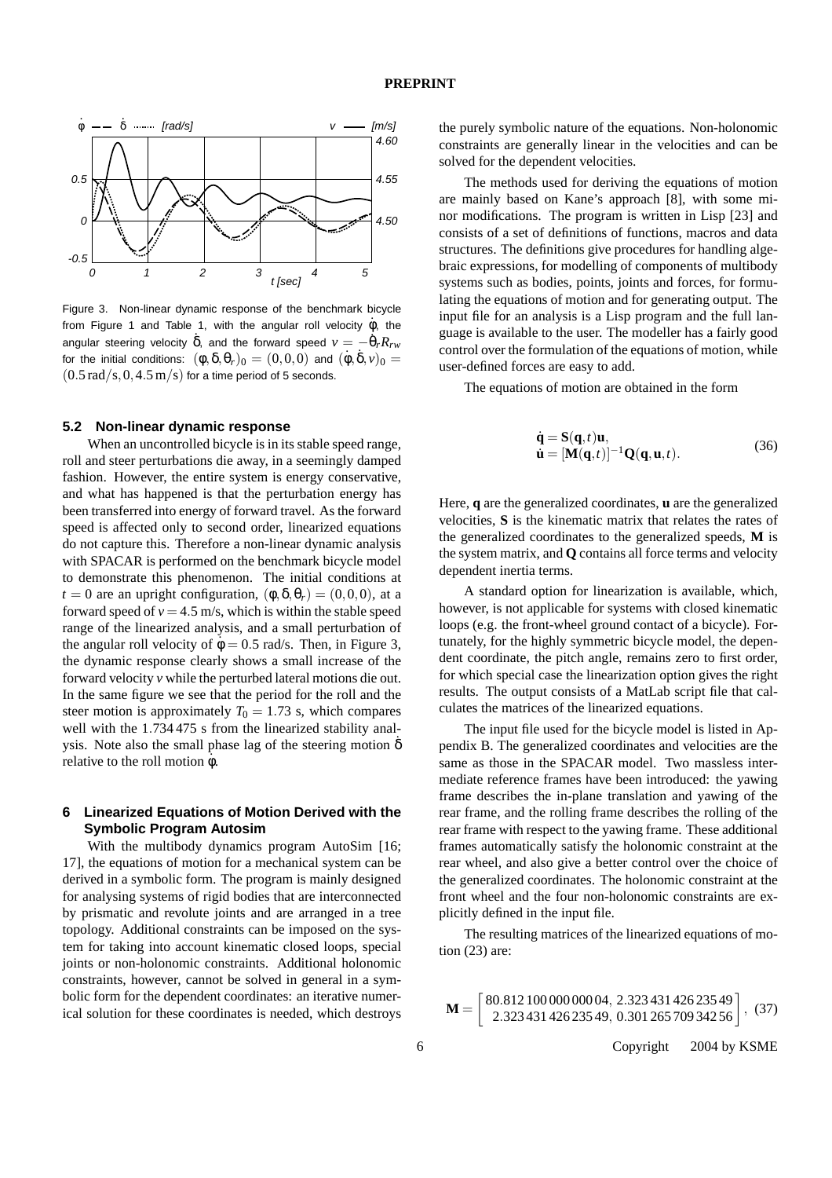

Figure 3. Non-linear dynamic response of the benchmark bicycle from Figure 1 and Table 1, with the angular roll velocity  $\dot{\phi}$ , the angular steering velocity  $\dot{\delta}$ , and the forward speed  $v = -\dot{\theta}_r R_{rw}$ for the initial conditions:  $(\phi, \delta, \theta_r)_0 = (0, 0, 0)$  and  $(\dot{\phi}, \dot{\delta}, v)_0 =$  $(0.5 \text{ rad/s}, 0.4.5 \text{ m/s})$  for a time period of 5 seconds.

#### **5.2 Non-linear dynamic response**

When an uncontrolled bicycle is in its stable speed range, roll and steer perturbations die away, in a seemingly damped fashion. However, the entire system is energy conservative, and what has happened is that the perturbation energy has been transferred into energy of forward travel. As the forward speed is affected only to second order, linearized equations do not capture this. Therefore a non-linear dynamic analysis with SPACAR is performed on the benchmark bicycle model to demonstrate this phenomenon. The initial conditions at  $t = 0$  are an upright configuration,  $(\phi, \delta, \theta_r) = (0, 0, 0)$ , at a forward speed of  $v = 4.5$  m/s, which is within the stable speed range of the linearized analysis, and a small perturbation of the angular roll velocity of  $\dot{\phi} = 0.5$  rad/s. Then, in Figure 3, the dynamic response clearly shows a small increase of the forward velocity *v* while the perturbed lateral motions die out. In the same figure we see that the period for the roll and the steer motion is approximately  $T_0 = 1.73$  s, which compares well with the 1.734 475 s from the linearized stability analysis. Note also the small phase lag of the steering motion  $\delta$ relative to the roll motion  $\dot{\phi}$ .

## **6 Linearized Equations of Motion Derived with the Symbolic Program Autosim**

With the multibody dynamics program AutoSim [16; 17], the equations of motion for a mechanical system can be derived in a symbolic form. The program is mainly designed for analysing systems of rigid bodies that are interconnected by prismatic and revolute joints and are arranged in a tree topology. Additional constraints can be imposed on the system for taking into account kinematic closed loops, special joints or non-holonomic constraints. Additional holonomic constraints, however, cannot be solved in general in a symbolic form for the dependent coordinates: an iterative numerical solution for these coordinates is needed, which destroys the purely symbolic nature of the equations. Non-holonomic constraints are generally linear in the velocities and can be solved for the dependent velocities.

The methods used for deriving the equations of motion are mainly based on Kane's approach [8], with some minor modifications. The program is written in Lisp [23] and consists of a set of definitions of functions, macros and data structures. The definitions give procedures for handling algebraic expressions, for modelling of components of multibody systems such as bodies, points, joints and forces, for formulating the equations of motion and for generating output. The input file for an analysis is a Lisp program and the full language is available to the user. The modeller has a fairly good control over the formulation of the equations of motion, while user-defined forces are easy to add.

The equations of motion are obtained in the form

$$
\dot{\mathbf{q}} = \mathbf{S}(\mathbf{q}, t)\mathbf{u}, \n\dot{\mathbf{u}} = [\mathbf{M}(\mathbf{q}, t)]^{-1} \mathbf{Q}(\mathbf{q}, \mathbf{u}, t).
$$
\n(36)

Here, **q** are the generalized coordinates, **u** are the generalized velocities, **S** is the kinematic matrix that relates the rates of the generalized coordinates to the generalized speeds, **M** is the system matrix, and **Q** contains all force terms and velocity dependent inertia terms.

A standard option for linearization is available, which, however, is not applicable for systems with closed kinematic loops (e.g. the front-wheel ground contact of a bicycle). Fortunately, for the highly symmetric bicycle model, the dependent coordinate, the pitch angle, remains zero to first order, for which special case the linearization option gives the right results. The output consists of a MatLab script file that calculates the matrices of the linearized equations.

The input file used for the bicycle model is listed in Appendix B. The generalized coordinates and velocities are the same as those in the SPACAR model. Two massless intermediate reference frames have been introduced: the yawing frame describes the in-plane translation and yawing of the rear frame, and the rolling frame describes the rolling of the rear frame with respect to the yawing frame. These additional frames automatically satisfy the holonomic constraint at the rear wheel, and also give a better control over the choice of the generalized coordinates. The holonomic constraint at the front wheel and the four non-holonomic constraints are explicitly defined in the input file.

The resulting matrices of the linearized equations of motion (23) are:

$$
\mathbf{M} = \begin{bmatrix} 80.81210000000004, 2.32343142623549 \\ 2.32343142623549, 0.30126570934256 \end{bmatrix}, (37)
$$

6 Copyright 2004 by KSME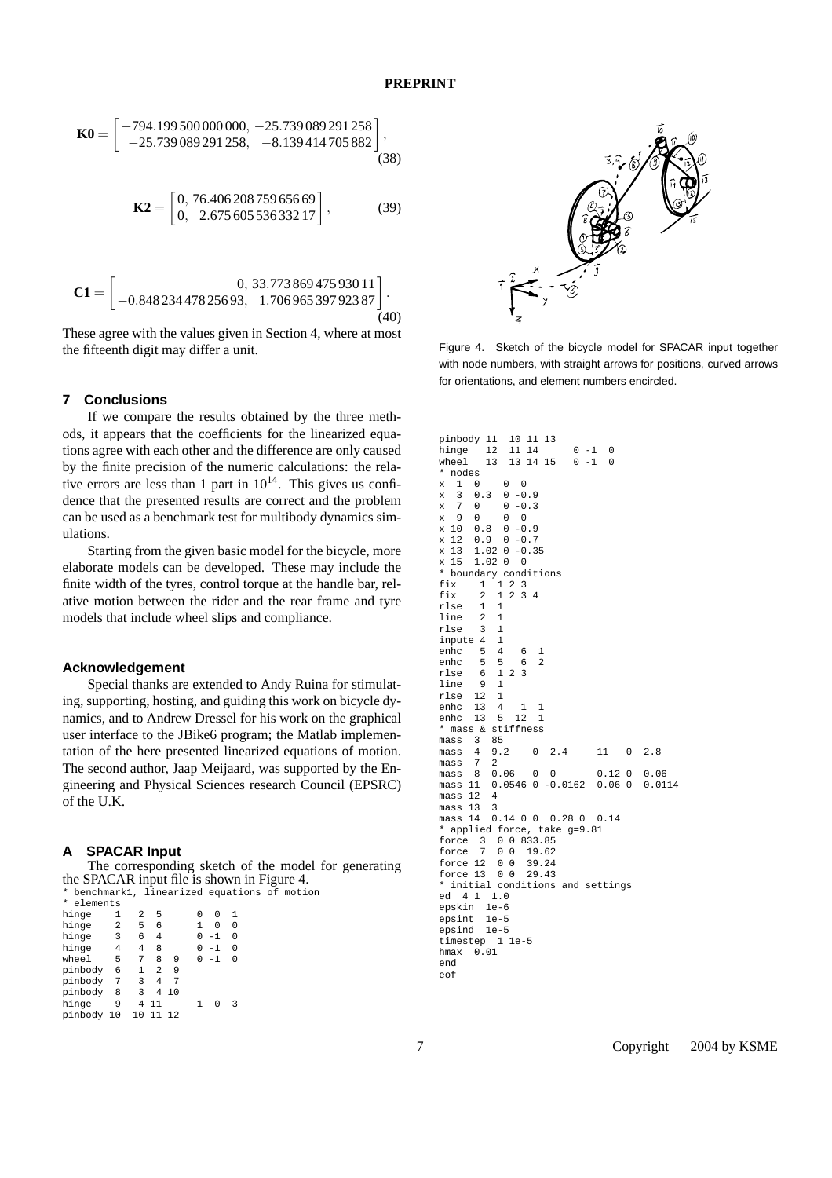$$
\mathbf{K0} = \begin{bmatrix} -794.199500000000, -25.739089291258 \\ -25.739089291258, -8.139414705882 \end{bmatrix},
$$
(38)

$$
\mathbf{K2} = \begin{bmatrix} 0, 76.40620875965669 \\ 0, 2.67560553633217 \end{bmatrix},
$$
 (39)

$$
\mathbf{C1} = \begin{bmatrix} 0, 33.77386947593011 \\ -0.84823447825693, 1.70696539792387 \end{bmatrix} . \tag{40}
$$

These agree with the values given in Section 4, where at most the fifteenth digit may differ a unit.

#### **7 Conclusions**

If we compare the results obtained by the three methods, it appears that the coefficients for the linearized equations agree with each other and the difference are only caused by the finite precision of the numeric calculations: the relative errors are less than 1 part in  $10^{14}$ . This gives us confidence that the presented results are correct and the problem can be used as a benchmark test for multibody dynamics simulations.

Starting from the given basic model for the bicycle, more elaborate models can be developed. These may include the finite width of the tyres, control torque at the handle bar, relative motion between the rider and the rear frame and tyre models that include wheel slips and compliance.

#### **Acknowledgement**

Special thanks are extended to Andy Ruina for stimulating, supporting, hosting, and guiding this work on bicycle dynamics, and to Andrew Dressel for his work on the graphical user interface to the JBike6 program; the Matlab implementation of the here presented linearized equations of motion. The second author, Jaap Meijaard, was supported by the Engineering and Physical Sciences research Council (EPSRC) of the U.K.

#### **A SPACAR Input**

The corresponding sketch of the model for generating the SPACAR input file is shown in Figure 4. \* benchmark1, linearized equations of motion

| 1                                                                                   | 2                      | 5              |    | U | U    | 1 |
|-------------------------------------------------------------------------------------|------------------------|----------------|----|---|------|---|
| 2                                                                                   | 5                      | 6              |    | 1 | N    |   |
| 3                                                                                   | 6                      | 4              |    | U | $-1$ | 0 |
| 4                                                                                   | 4                      | 8              |    | U | $-1$ | 0 |
| 5                                                                                   | 7                      | 8              | 9  |   | $-1$ | U |
| 6                                                                                   | 1                      | $\mathfrak{D}$ | 9  |   |      |   |
| 7                                                                                   | 3                      | 4              | 7  |   |      |   |
| 8                                                                                   | κ                      | 4              | 10 |   |      |   |
| 9                                                                                   | 4                      | 11             |    |   |      |   |
|                                                                                     | 10                     | 11             | 12 |   |      |   |
| hinge<br>hinge<br>hinge<br>hinge<br>wheel<br>pinbodv<br>pinbody<br>pinbody<br>hinge | elements<br>pinbody 10 |                |    |   |      |   |



Figure 4. Sketch of the bicycle model for SPACAR input together with node numbers, with straight arrows for positions, curved arrows for orientations, and element numbers encircled.

pinbody 11 10 11 13  $12$  11 14 0 -1 0 wheel 13 13 14 15 0 -1 0 \* nodes  $x$  1 0 0 0<br> $x$  3 0.3 0 -0  $3 \t 0.3 \t 0 -0.9$ <br>7 0 0 -0.3  $\begin{array}{cccc} x & 7 & 0 & 0 & -0.3 \\ x & 9 & 0 & 0 & 0 \end{array}$  $x = 90000$ <br> $x = 1000.80 - 0.9$  $x 10 0.8 0 -0.9$ <br> $x 12 0.9 0 -0.7$  $x 12 0.9$ x 13 1.02 0 -0.35 x 15 1.02 0 0 \* boundary conditions fix 1 1 2 3<br>fix 2 1 2 3  $2 \times 3 \times 4$ rlse 1 1 line 2 1 rlse 3 1 inpute 4 1 enhc 5 4 6 1<br>enhc 5 5 6 2 enhc  $5 \t 5 \t 6$ <br>rlse  $6 \t 1 \t 2 \t 3$  $r \log_2 6 1$  $\frac{1}{2}$ ine  $\frac{9}{12}$  1 rlse 12 1 enhc 13 4 1 1<br>enhc 13 5 12 1 enhc  $13 \t 5 \t 12 \t 1$ <br>\* mass & stiffness  $*$  mass & st:<br>mass  $3$  85  $mass<sub>3</sub>   
mass<sub>4</sub>$ mass 4 9.2 0 2.4 11 0 2.8 mass 7 2<br>mass 8 0.06 mass 8 0.06 0 0 0.12 0 0.06<br>mass 11 0.0546 0 -0.0162 0.06 0 0.0114  $0.0546$  0 -0.0162 mass 12 4 mass 13 mass 14 0.14 0.0 0.28 0 0.14 \* applied force, take g=9.81 force 3 0 0 833.85 force 7 0 0 19.62 force 12 0 0 39.24 force 13 0 0 29.43 \* initial conditions and settings ed 4 1 1.0 epskin 1e-6 epsint 1e-5 epsind 1e-5 timestep 1 1e-5 hmax 0.01 end eof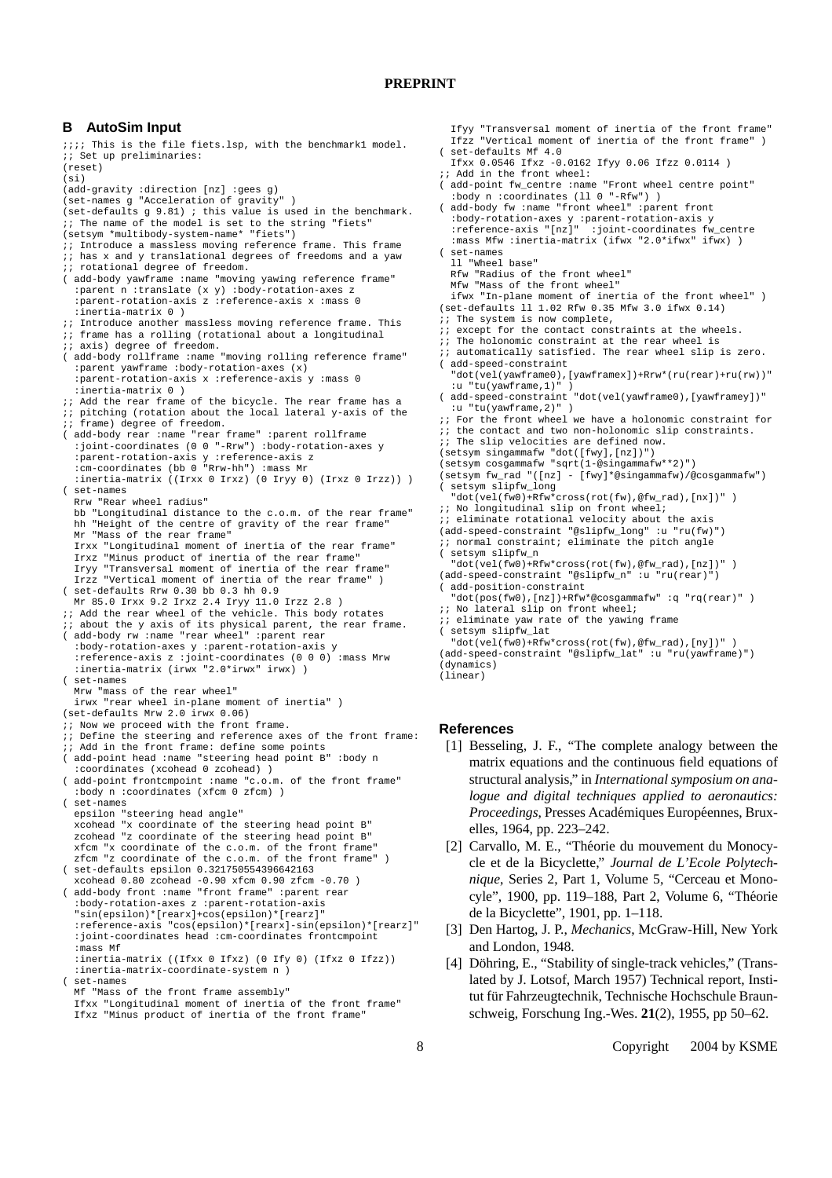#### **B AutoSim Input**

;;;; This is the file fiets.lsp, with the benchmark1 model. ;; Set up preliminaries: (reset) (si) (add-gravity :direction [nz] :gees g) (set-names g "Acceleration of gravity" ) (set-defaults g 9.81) ; this value is used in the benchmark. ;; The name of the model is set to the string "fiets" (setsym \*multibody-system-name\* "fiets") ;; Introduce a massless moving reference frame. This frame  $i$ ; has x and y translational degrees of freedoms and a yaw ;; rotational degree of freedom. ( add-body yawframe :name "moving yawing reference frame :parent n :translate (x y) :body-rotation-axes z :parent-rotation-axis z :reference-axis x :mass 0 :inertia-matrix 0 ) ;; Introduce another massless moving reference frame. This ;; frame has a rolling (rotational about a longitudinal  $i$ ; axis) degree of freedom. ( add-body rollframe :name "moving rolling reference frame" :parent yawframe :body-rotation-axes (x) :parent-rotation-axis x :reference-axis y :mass 0 :inertia-matrix 0 ) ;; Add the rear frame of the bicycle. The rear frame has a<br>;; pitching (rotation about the local lateral y-axis of the ;; frame) degree of freedom. ( add-body rear :name "rear frame" :parent rollframe :joint-coordinates (0 0 "-Rrw") :body-rotation-axes y :parent-rotation-axis y :reference-axis z :cm-coordinates (bb 0 "Rrw-hh") :mass Mr :inertia-matrix ((Irxx 0 Irxz) (0 Iryy 0) (Irxz 0 Irzz)) ) ( set-names Rrw "Rear wheel radius" bb "Longitudinal distance to the c.o.m. of the rear frame" hh "Height of the centre of gravity of the rear frame" Mr "Mass of the rear frame" Irxx "Longitudinal moment of inertia of the rear frame" Irxz "Minus product of inertia of the rear frame" Iryy "Transversal moment of inertia of the rear frame" Irzz "Vertical moment of inertia of the rear frame" ) ( set-defaults Rrw 0.30 bb 0.3 hh 0.9 Mr 85.0 Irxx 9.2 Irxz 2.4 Iryy 11.0 Irzz 2.8 ) ;; Add the rear wheel of the vehicle. This body rotates ;; about the y axis of its physical parent, the rear frame. ( add-body rw :name "rear wheel" :parent rear :body-rotation-axes y :parent-rotation-axis y :reference-axis z :joint-coordinates (0 0 0) :mass Mrw :inertia-matrix (irwx "2.0\*irwx" irwx) ) ( set-names Mrw "mass of the rear wheel" irwx "rear wheel in-plane moment of inertia" ) (set-defaults Mrw 2.0 irwx 0.06) ;; Now we proceed with the front frame. ;; Define the steering and reference axes of the front frame: ;; Add in the front frame: define some points ( add-point head :name "steering head point B" :body n :coordinates (xcohead 0 zcohead) ) ( add-point frontcmpoint :name "c.o.m. of the front frame" :body n :coordinates (xfcm 0 zfcm) ) ( set-names epsilon "steering head angle" xcohead "x coordinate of the steering head point B" zcohead "z coordinate of the steering head point B" xfcm "x coordinate of the c.o.m. of the front frame" zfcm "z coordinate of the c.o.m. of the front frame" ) ( set-defaults epsilon 0.321750554396642163 xcohead 0.80 zcohead -0.90 xfcm 0.90 zfcm -0.70 ) ( add-body front :name "front frame" :parent rear :body-rotation-axes z :parent-rotation-axis "sin(epsilon)\*[rearx]+cos(epsilon)\*[rearz]" :reference-axis "cos(epsilon)\*[rearx]-sin(epsilon)\*[rearz]" :joint-coordinates head :cm-coordinates frontcmpoint :mass Mf :inertia-matrix ((Ifxx 0 Ifxz) (0 Ify 0) (Ifxz 0 Ifzz)) :inertia-matrix-coordinate-system n ) set-names Mf "Mass of the front frame assembly" Ifxx "Longitudinal moment of inertia of the front frame" Ifxz "Minus product of inertia of the front frame"

Ifyy "Transversal moment of inertia of the front frame" Ifzz "Vertical moment of inertia of the front frame" ) set-defaults Mf 4.0

- Ifxx 0.0546 Ifxz -0.0162 Ifyy 0.06 Ifzz 0.0114 ) ;; Add in the front wheel:
- ( add-point fw\_centre :name "Front wheel centre point" :body n :coordinates (ll 0 "-Rfw") )
- add-body fw :name "front wheel" :parent front :body-rotation-axes y :parent-rotation-axis y :reference-axis "[nz]" :joint-coordinates fw\_centre :mass Mfw :inertia-matrix (ifwx "2.0\*ifwx" ifwx) )
- ( set-names
	- ll "Wheel base"
	- Rfw "Radius of the front wheel" Mfw "Mass of the front wheel"
- ifwx "In-plane moment of inertia of the front wheel" ) (set-defaults ll 1.02 Rfw 0.35 Mfw 3.0 ifwx 0.14)
- 
- $i:$  The system is now complete,<br> $ii:$  except for the contact cons except for the contact constraints at the wheels.
- ;; The holonomic constraint at the rear wheel is
- $\ldots$  automatically satisfied. The rear wheel slip is zero. add-speed-constraint
- "dot(vel(yawframe0),[yawframex])+Rrw\*(ru(rear)+ru(rw))" :u "tu(yawframe,1)" )
- ( add-speed-constraint "dot(vel(yawframe0),[yawframey])" :u "tu(yawframe, 2)"
- ;; For the front wheel we have a holonomic constraint for
- :: the contact and two non-holonomic slip constraints. ;; The slip velocities are defined now.
- (setsym singammafw "dot([fwy],[nz])")
- (setsym cosgammafw "sqrt(1-@singammafw\*\*2)")
- (setsym fw\_rad "([nz] [fwy]\*@singammafw)/@cosgammafw") ( setsym slipfw\_long
- "dot(vel(fw0)+Rfw\*cross(rot(fw),@fw\_rad),[nx])" )
- ;; No longitudinal slip on front wheel;
- 
- ;; eliminate rotational velocity about the axis (add-speed-constraint "@slipfw\_long" :u "ru(fw)")
- ;; normal constraint; eliminate the pitch angle ( setsym slipfw\_n
- "dot(vel(fw0)+Rfw\*cross(rot(fw),@fw\_rad),[nz])" )
- (add-speed-constraint "@slipfw\_n" :u "ru(rear)") ( add-position-constraint

```
"dot(pos(fw0),[nz])+Rfw*@cosgammafw" :q "rq(rear)" )
```
;; No lateral slip on front wheel;  $i$ ; eliminate yaw rate of the yawing frame

"dot(vel(fw0)+Rfw\*cross(rot(fw),@fw\_rad),[ny])" ) (add-speed-constraint "@slipfw\_lat" :u "ru(yawframe)") (dynamics) (linear)

#### **References**

- [1] Besseling, J. F., "The complete analogy between the matrix equations and the continuous field equations of structural analysis," in *International symposium on analogue and digital techniques applied to aeronautics: Proceedings*, Presses Académiques Européennes, Bruxelles, 1964, pp. 223–242.
- [2] Carvallo, M. E., "Théorie du mouvement du Monocycle et de la Bicyclette," *Journal de L'Ecole Polytechnique*, Series 2, Part 1, Volume 5, "Cerceau et Monocyle", 1900, pp. 119-188, Part 2, Volume 6, "Théorie de la Bicyclette", 1901, pp. 1–118.
- [3] Den Hartog, J. P., *Mechanics*, McGraw-Hill, New York and London, 1948.
- [4] Döhring, E., "Stability of single-track vehicles," (Translated by J. Lotsof, March 1957) Technical report, Institut für Fahrzeugtechnik, Technische Hochschule Braunschweig, Forschung Ing.-Wes. **21**(2), 1955, pp 50–62.

<sup>(</sup> setsym slipfw\_lat